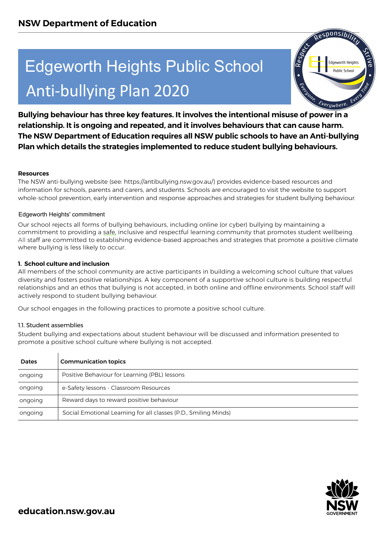# Anti-bullying Plan 2020



## **Resources**

## **1. School culture and inclusion**

### 1.1. Student assemblies

|                         | <b>Edgeworth Heights Public School</b><br>le'<br>R<br><b>Edgeworth Heights</b><br><b>Public School</b>                                                                                                                                                                                                                                                                                                                                                                                                                                     |  |
|-------------------------|--------------------------------------------------------------------------------------------------------------------------------------------------------------------------------------------------------------------------------------------------------------------------------------------------------------------------------------------------------------------------------------------------------------------------------------------------------------------------------------------------------------------------------------------|--|
|                         | Technic Everywhere<br><b>Anti-bullying Plan 2020</b>                                                                                                                                                                                                                                                                                                                                                                                                                                                                                       |  |
|                         | Bullying behaviour has three key features. It involves the intentional misuse of power in a<br>relationship. It is ongoing and repeated, and it involves behaviours that can cause harm.<br>The NSW Department of Education requires all NSW public schools to have an Anti-bullying<br>Plan which details the strategies implemented to reduce student bullying behaviours.                                                                                                                                                               |  |
| <b>Resources</b>        | The NSW anti-bullying website (see: https://antibullying.nsw.gov.au/) provides evidence-based resources and<br>information for schools, parents and carers, and students. Schools are encouraged to visit the website to support<br>whole-school prevention, early intervention and response approaches and strategies for student bullying behaviour.                                                                                                                                                                                     |  |
|                         | Edgeworth Heights' commitment                                                                                                                                                                                                                                                                                                                                                                                                                                                                                                              |  |
|                         | Our school rejects all forms of bullying behaviours, including online (or cyber) bullying by maintaining a<br>commitment to providing a safe, inclusive and respectful learning community that promotes student wellbeing.<br>All staff are committed to establishing evidence-based approaches and strategies that promote a positive climate<br>where bullying is less likely to occur.                                                                                                                                                  |  |
|                         | 1. School culture and inclusion<br>All members of the school community are active participants in building a welcoming school culture that values<br>diversity and fosters positive relationships. A key component of a supportive school culture is building respectful<br>relationships and an ethos that bullying is not accepted, in both online and offline environments. School staff will<br>actively respond to student bullying behaviour.<br>Our school engages in the following practices to promote a positive school culture. |  |
| 1.1. Student assemblies | Student bullying and expectations about student behaviour will be discussed and information presented to<br>promote a positive school culture where bullying is not accepted.                                                                                                                                                                                                                                                                                                                                                              |  |
| Dates                   | <b>Communication topics</b>                                                                                                                                                                                                                                                                                                                                                                                                                                                                                                                |  |
| ongoing                 | Positive Behaviour for Learning (PBL) lessons                                                                                                                                                                                                                                                                                                                                                                                                                                                                                              |  |
| ongoing                 | e-Safety lessons - Classroom Resources                                                                                                                                                                                                                                                                                                                                                                                                                                                                                                     |  |
| ongoing                 | Reward days to reward positive behaviour                                                                                                                                                                                                                                                                                                                                                                                                                                                                                                   |  |
| ongoing                 | Social Emotional Learning for all classes (P.D., Smiling Minds)                                                                                                                                                                                                                                                                                                                                                                                                                                                                            |  |

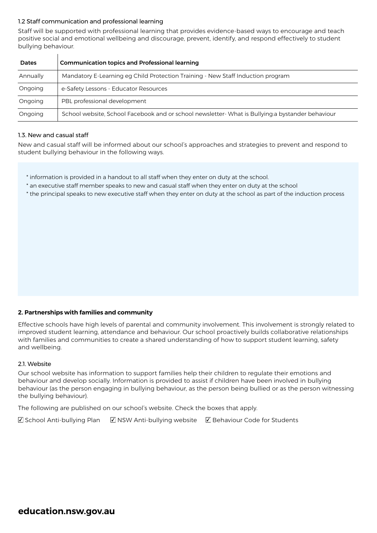## 1.2 Staff communication and professional learning

Staff will be supported with professional learning that provides evidence-based ways to encourage and teach positive social and emotional wellbeing and discourage, prevent, identify, and respond effectively to student bullying behaviour.

| <b>Dates</b> | <b>Communication topics and Professional learning</b>                                            |  |
|--------------|--------------------------------------------------------------------------------------------------|--|
| Annually     | Mandatory E-Learning eg Child Protection Training - New Staff Induction program                  |  |
| Ongoing      | e-Safety Lessons - Educator Resources                                                            |  |
| Ongoing      | PBL professional development                                                                     |  |
| Ongoing      | School website, School Facebook and or school newsletter- What is Bullying:a bystander behaviour |  |

### 1.3. New and casual staff

 $\mathbf{I}$ 

New and casual staff will be informed about our school's approaches and strategies to prevent and respond to student bullying behaviour in the following ways.

- \* information is provided in a handout to all staff when they enter on duty at the school.
- \* an executive staff member speaks to new and casual staff when they enter on duty at the school
- \* the principal speaks to new executive staff when they enter on duty at the school as part of the induction process

# **2. Partnerships with families and community**

Effective schools have high levels of parental and community involvement. This involvement is strongly related to improved student learning, attendance and behaviour. Our school proactively builds collaborative relationships with families and communities to create a shared understanding of how to support student learning, safety and wellbeing.

### 2.1. Website

Our school website has information to support families help their children to regulate their emotions and behaviour and develop socially. Information is provided to assist if children have been involved in bullying behaviour (as the person engaging in bullying behaviour, as the person being bullied or as the person witnessing the bullying behaviour).

The following are published on our school's website. Check the boxes that apply.

 $\boxtimes$  School Anti-bullying Plan  $\boxtimes$  NSW Anti-bullying website  $\boxtimes$  Behaviour Code for Students